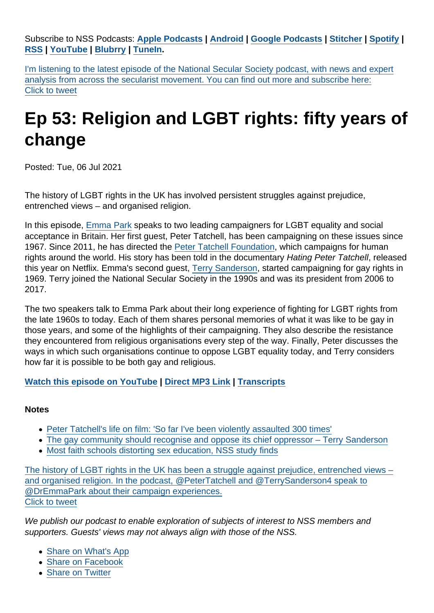Subscribe to NSS Podcasts: [Apple Podcasts](https://itunes.apple.com/gb/podcast/national-secular-society-podcast/id1452493582?mt=2) [|](https://twitter.com/intent/tweet?url=https://www.secularism.org.uk/podcast/2021/07/ep-53&text=The+history+of+LGBT+rights+in+the+UK+has+been+a+struggle+against+prejudice,+entrenched+views+–+and+organised+religion.+In+the+podcast,+@PeterTatchell+and+@TerrySanderson4+speak+to+@DrEmmaPark+about+their+campaign+experiences.&via=NatSecSoc&hashtags=Secularism) [Android](https://subscribeonandroid.com/secularism.blubrry.net/feed/podcast/) [|](https://twitter.com/intent/tweet?url=https://www.secularism.org.uk/podcast/2021/07/ep-53&text=The+history+of+LGBT+rights+in+the+UK+has+been+a+struggle+against+prejudice,+entrenched+views+–+and+organised+religion.+In+the+podcast,+@PeterTatchell+and+@TerrySanderson4+speak+to+@DrEmmaPark+about+their+campaign+experiences.&via=NatSecSoc&hashtags=Secularism) [Google Podcasts](https://www.google.com/podcasts?feed=aHR0cHM6Ly9zZWN1bGFyaXNtLmJsdWJycnkubmV0L2ZlZWQvcG9kY2FzdC8) [|](https://twitter.com/intent/tweet?url=https://www.secularism.org.uk/podcast/2021/07/ep-53&text=The+history+of+LGBT+rights+in+the+UK+has+been+a+struggle+against+prejudice,+entrenched+views+–+and+organised+religion.+In+the+podcast,+@PeterTatchell+and+@TerrySanderson4+speak+to+@DrEmmaPark+about+their+campaign+experiences.&via=NatSecSoc&hashtags=Secularism) [Stitcher](https://www.stitcher.com/podcast/national-secular-society-podcast) [| S](https://twitter.com/intent/tweet?url=https://www.secularism.org.uk/podcast/2021/07/ep-53&text=The+history+of+LGBT+rights+in+the+UK+has+been+a+struggle+against+prejudice,+entrenched+views+–+and+organised+religion.+In+the+podcast,+@PeterTatchell+and+@TerrySanderson4+speak+to+@DrEmmaPark+about+their+campaign+experiences.&via=NatSecSoc&hashtags=Secularism)[potify](https://open.spotify.com/show/4YUdgznRhQwCtJRRLwbeXU) | [RSS](https://secularism.blubrry.net/feed/podcast/) | [YouTube](http://bit.ly/2TFGMDO) | [Blubrry](https://www.blubrry.com/secularism/) | [TuneIn](https://tunein.com/podcasts/News--Politics-Podcasts/National-Secular-Society-Podcast-p1188177/).

I'm listening to the latest episode of the National Secular Society podcast, with news and expert analysis from across the secularist movement. You can find out more and subscribe here: Click to tweet

# Ep 53: Religion and LGBT rights: fifty years of change

Posted: Tue, 06 Jul 2021

The history of LGBT rights in the UK has involved persistent struggles against prejudice, entrenched views – and organised religion.

In this episode, [Emma Park](https://twitter.com/DrEmmaPark) speaks to two leading campaigners for LGBT equality and social acceptance in Britain. Her first guest, Peter Tatchell, has been campaigning on these issues since 1967. Since 2011, he has directed the [Peter Tatchell Foundation,](https://www.petertatchellfoundation.org/) which campaigns for human rights around the world. His story has been told in the documentary Hating Peter Tatchell, released this year on Netflix. Emma's second guest, [Terry Sanderson](https://www.secularism.org.uk/terry-sanderson.html), started campaigning for gay rights in 1969. Terry joined the National Secular Society in the 1990s and was its president from 2006 to 2017.

The two speakers talk to Emma Park about their long experience of fighting for LGBT rights from the late 1960s to today. Each of them shares personal memories of what it was like to be gay in those years, and some of the highlights of their campaigning. They also describe the resistance they encountered from religious organisations every step of the way. Finally, Peter discusses the ways in which such organisations continue to oppose LGBT equality today, and Terry considers how far it is possible to be both gay and religious.

[Watch this episode on YouTube](https://youtu.be/mGF79JFYrMA) | [Direct MP3 Link](https://media.blubrry.com/secularism/content.blubrry.com/secularism/NSS_Ep53_2021_07_04.mp3) | [Transcripts](https://www.secularism.org.uk/transcripts)

#### **Notes**

- [Peter Tatchell's life on film: 'So far I've been violently assaulted 300 times'](https://www.theguardian.com/film/2021/jun/01/hating-peter-tatchell-documentary-netflix-lgbt-rights)
- [The gay community should recognise and oppose its chief oppressor Terry Sanderson](https://www.secularism.org.uk/opinion/2016/05/the-gay-community-should-recognise-and-oppose-its-chief-oppressor)
- [Most faith schools distorting sex education, NSS study finds](https://www.secularism.org.uk/news/2018/05/most-faith-schools-distorting-sex-education-nss-study-finds)

The history of LGBT rights in the UK has been a struggle against prejudice, entrenched views – and organised religion. In the podcast, @PeterTatchell and @TerrySanderson4 speak to @DrEmmaPark about their campaign experiences. Click to tweet

We publish our podcast to enable exploration of subjects of interest to NSS members and supporters. Guests' views may not always align with those of the NSS.

- [Share on What's App](whatsapp://send?text=http://www.secularism.org.uk/podcast/2021/07/ep-53?format=pdf)
- [Share on Facebook](https://www.facebook.com/sharer/sharer.php?u=http://www.secularism.org.uk/podcast/2021/07/ep-53?format=pdf&t=Ep+53:+Religion+and+LGBT+rights:+fifty+years+of+change)
- [Share on Twitter](https://twitter.com/intent/tweet?url=http://www.secularism.org.uk/podcast/2021/07/ep-53?format=pdf&text=Ep+53:+Religion+and+LGBT+rights:+fifty+years+of+change&via=NatSecSoc)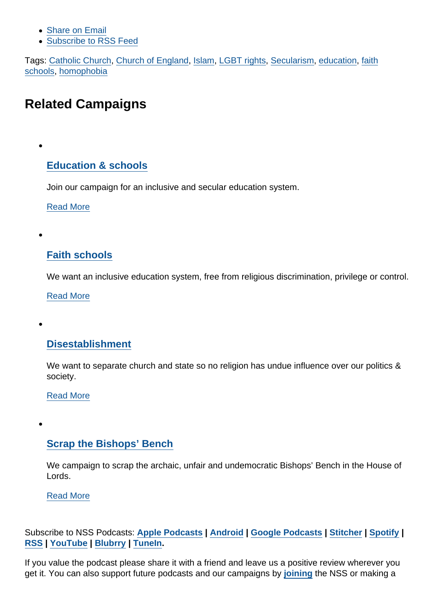- [Share on Email](https://www.secularism.org.uk/share.html?url=http://www.secularism.org.uk/podcast/2021/07/ep-53?format=pdf&title=Ep+53:+Religion+and+LGBT+rights:+fifty+years+of+change)
- [Subscribe to RSS Feed](/mnt/web-data/www/cp-nss/feeds/rss/news)

Tags: [Catholic Church,](https://www.secularism.org.uk/podcast/tags/Catholic+Church) [Church of England,](https://www.secularism.org.uk/podcast/tags/Church+of+England) [Islam](https://www.secularism.org.uk/podcast/tags/Islam), [LGBT rights,](https://www.secularism.org.uk/podcast/tags/LGBT+rights) [Secularism,](https://www.secularism.org.uk/podcast/tags/Secularism) [education,](https://www.secularism.org.uk/podcast/tags/education) [faith](https://www.secularism.org.uk/podcast/tags/faith+schools) [schools,](https://www.secularism.org.uk/podcast/tags/faith+schools) [homophobia](https://www.secularism.org.uk/podcast/tags/homophobia)

# Related Campaigns

## [Education & schools](https://www.secularism.org.uk/education/)

Join our campaign for an inclusive and secular education system.

[Read More](https://www.secularism.org.uk/education/)

#### [Faith schools](https://www.secularism.org.uk/faith-schools/)

We want an inclusive education system, free from religious discrimination, privilege or control.

[Read More](https://www.secularism.org.uk/faith-schools/)

#### [Disestablishment](https://www.secularism.org.uk/disestablishment/)

We want to separate church and state so no religion has undue influence over our politics & society.

#### [Read More](https://www.secularism.org.uk/disestablishment/)

### [Scrap the Bishops' Bench](https://www.secularism.org.uk/scrap-bishops-bench/)

We campaign to scrap the archaic, unfair and undemocratic Bishops' Bench in the House of Lords.

[Read More](https://www.secularism.org.uk/scrap-bishops-bench/)

Subscribe to NSS Podcasts: [Apple Podcasts](https://itunes.apple.com/gb/podcast/national-secular-society-podcast/id1452493582?mt=2) | [Android](https://subscribeonandroid.com/secularism.blubrry.net/feed/podcast/) | [Google Podcasts](https://www.google.com/podcasts?feed=aHR0cHM6Ly9zZWN1bGFyaXNtLmJsdWJycnkubmV0L2ZlZWQvcG9kY2FzdC8) | [Stitcher](https://www.stitcher.com/podcast/national-secular-society-podcast) | [Spotify](https://open.spotify.com/show/4YUdgznRhQwCtJRRLwbeXU) | [RSS](https://secularism.blubrry.net/feed/podcast/) | [YouTube](http://bit.ly/2TFGMDO) | [Blubrry](https://www.blubrry.com/secularism/) | [TuneIn](https://tunein.com/podcasts/News--Politics-Podcasts/National-Secular-Society-Podcast-p1188177/).

If you value the podcast please share it with a friend and leave us a positive review wherever you get it. You can also support future podcasts and our campaigns by [joining](https://www.secularism.org.uk/join-and-renew.html) the NSS or making a